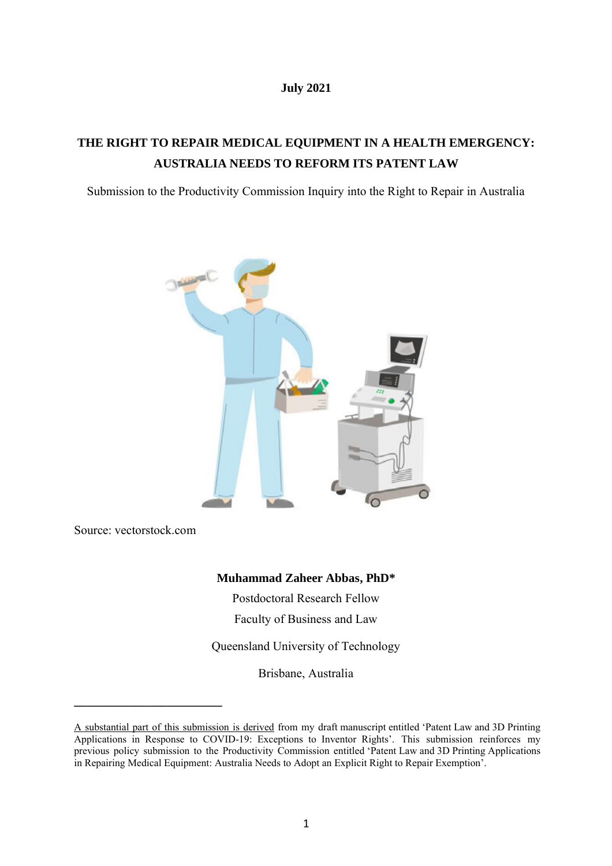### **July 2021**

# **THE RIGHT TO REPAIR MEDICAL EQUIPMENT IN A HEALTH EMERGENCY: AUSTRALIA NEEDS TO REFORM ITS PATENT LAW**

Submission to the Productivity Commission Inquiry into the Right to Repair in Australia



Source: vectorstock.com

**\_\_\_\_\_\_\_\_\_\_\_\_\_\_\_\_\_\_\_\_\_\_\_\_** 

# **Muhammad Zaheer Abbas, PhD\***

Postdoctoral Research Fellow

Faculty of Business and Law

Queensland University of Technology

Brisbane, Australia

A substantial part of this submission is derived from my draft manuscript entitled 'Patent Law and 3D Printing Applications in Response to COVID-19: Exceptions to Inventor Rights'. This submission reinforces my previous policy submission to the Productivity Commission entitled 'Patent Law and 3D Printing Applications in Repairing Medical Equipment: Australia Needs to Adopt an Explicit Right to Repair Exemption'.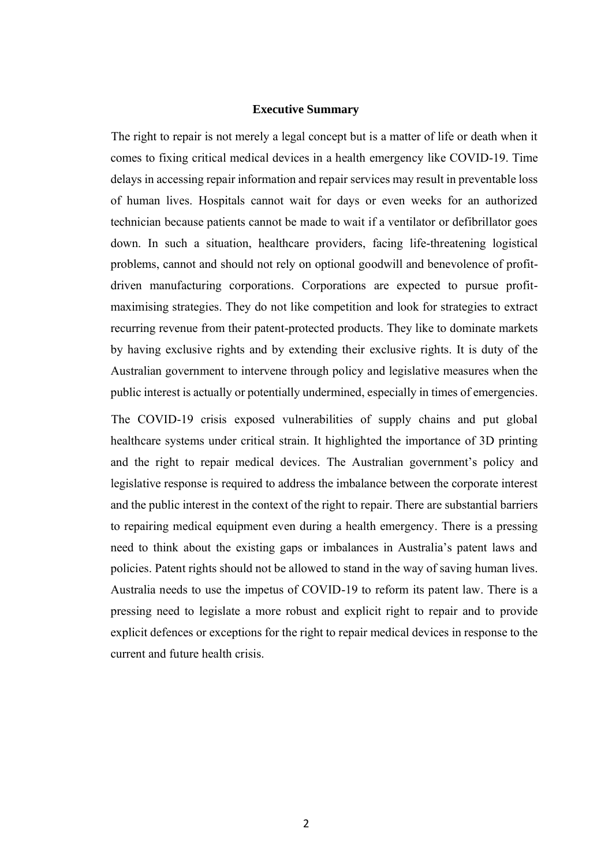### **Executive Summary**

The right to repair is not merely a legal concept but is a matter of life or death when it comes to fixing critical medical devices in a health emergency like COVID-19. Time delays in accessing repair information and repair services may result in preventable loss of human lives. Hospitals cannot wait for days or even weeks for an authorized technician because patients cannot be made to wait if a ventilator or defibrillator goes down. In such a situation, healthcare providers, facing life-threatening logistical problems, cannot and should not rely on optional goodwill and benevolence of profitdriven manufacturing corporations. Corporations are expected to pursue profitmaximising strategies. They do not like competition and look for strategies to extract recurring revenue from their patent-protected products. They like to dominate markets by having exclusive rights and by extending their exclusive rights. It is duty of the Australian government to intervene through policy and legislative measures when the public interest is actually or potentially undermined, especially in times of emergencies.

The COVID-19 crisis exposed vulnerabilities of supply chains and put global healthcare systems under critical strain. It highlighted the importance of 3D printing and the right to repair medical devices. The Australian government's policy and legislative response is required to address the imbalance between the corporate interest and the public interest in the context of the right to repair. There are substantial barriers to repairing medical equipment even during a health emergency. There is a pressing need to think about the existing gaps or imbalances in Australia's patent laws and policies. Patent rights should not be allowed to stand in the way of saving human lives. Australia needs to use the impetus of COVID-19 to reform its patent law. There is a pressing need to legislate a more robust and explicit right to repair and to provide explicit defences or exceptions for the right to repair medical devices in response to the current and future health crisis.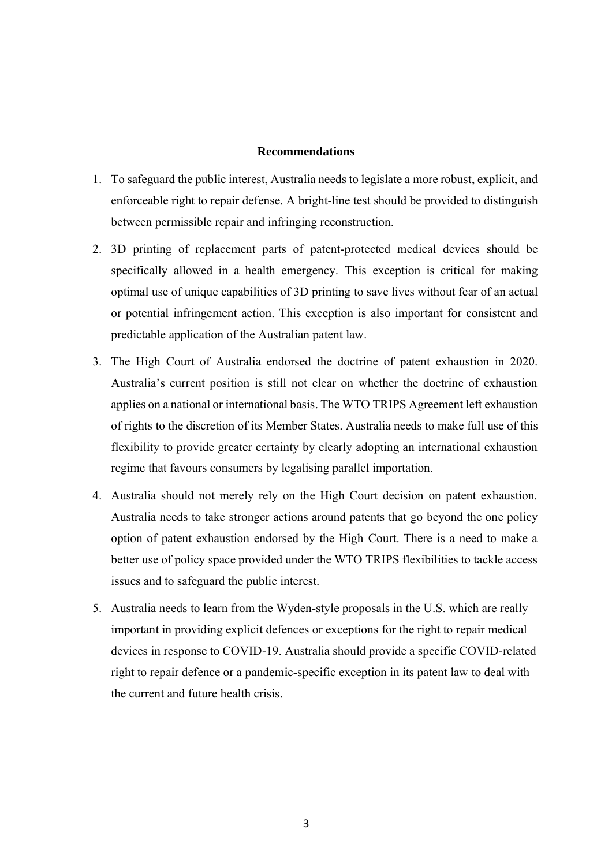## **Recommendations**

- 1. To safeguard the public interest, Australia needs to legislate a more robust, explicit, and enforceable right to repair defense. A bright-line test should be provided to distinguish between permissible repair and infringing reconstruction.
- 2. 3D printing of replacement parts of patent-protected medical devices should be specifically allowed in a health emergency. This exception is critical for making optimal use of unique capabilities of 3D printing to save lives without fear of an actual or potential infringement action. This exception is also important for consistent and predictable application of the Australian patent law.
- 3. The High Court of Australia endorsed the doctrine of patent exhaustion in 2020. Australia's current position is still not clear on whether the doctrine of exhaustion applies on a national or international basis. The WTO TRIPS Agreement left exhaustion of rights to the discretion of its Member States. Australia needs to make full use of this flexibility to provide greater certainty by clearly adopting an international exhaustion regime that favours consumers by legalising parallel importation.
- 4. Australia should not merely rely on the High Court decision on patent exhaustion. Australia needs to take stronger actions around patents that go beyond the one policy option of patent exhaustion endorsed by the High Court. There is a need to make a better use of policy space provided under the WTO TRIPS flexibilities to tackle access issues and to safeguard the public interest.
- 5. Australia needs to learn from the Wyden-style proposals in the U.S. which are really important in providing explicit defences or exceptions for the right to repair medical devices in response to COVID-19. Australia should provide a specific COVID-related right to repair defence or a pandemic-specific exception in its patent law to deal with the current and future health crisis.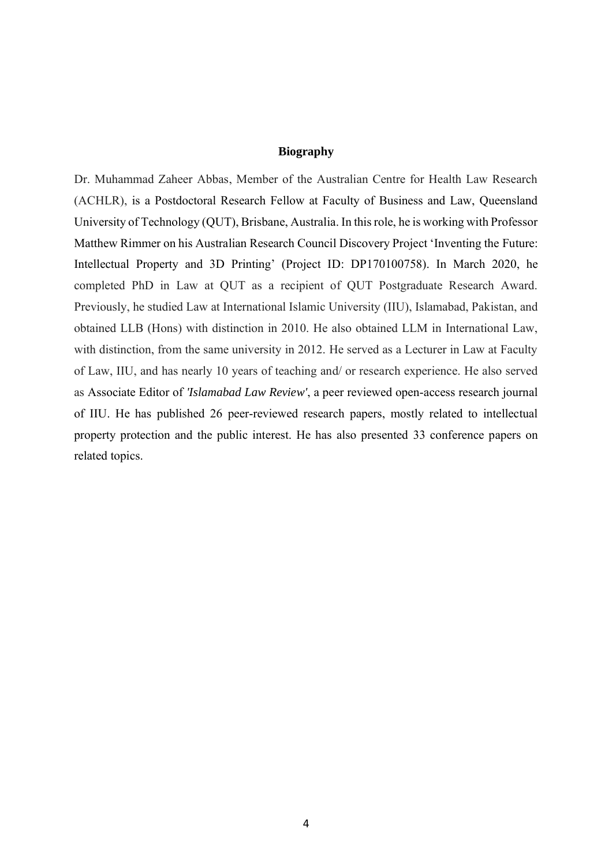## **Biography**

Dr. Muhammad Zaheer Abbas, Member of the Australian Centre for Health Law Research (ACHLR), is a Postdoctoral Research Fellow at Faculty of Business and Law, Queensland University of Technology (QUT), Brisbane, Australia. In this role, he is working with Professor Matthew Rimmer on his Australian Research Council Discovery Project 'Inventing the Future: Intellectual Property and 3D Printing' (Project ID: DP170100758). In March 2020, he completed PhD in Law at QUT as a recipient of QUT Postgraduate Research Award. Previously, he studied Law at International Islamic University (IIU), Islamabad, Pakistan, and obtained LLB (Hons) with distinction in 2010. He also obtained LLM in International Law, with distinction, from the same university in 2012. He served as a Lecturer in Law at Faculty of Law, IIU, and has nearly 10 years of teaching and/ or research experience. He also served as Associate Editor of *'Islamabad Law Review'*, a peer reviewed open-access research journal of IIU. He has published 26 peer-reviewed research papers, mostly related to intellectual property protection and the public interest. He has also presented 33 conference papers on related topics.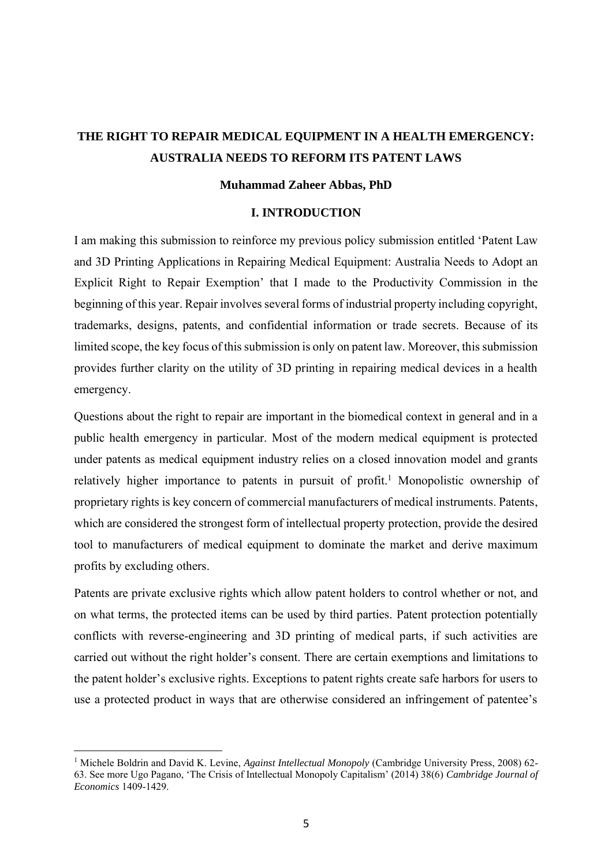# **THE RIGHT TO REPAIR MEDICAL EQUIPMENT IN A HEALTH EMERGENCY: AUSTRALIA NEEDS TO REFORM ITS PATENT LAWS**

### **Muhammad Zaheer Abbas, PhD**

#### **I. INTRODUCTION**

I am making this submission to reinforce my previous policy submission entitled 'Patent Law and 3D Printing Applications in Repairing Medical Equipment: Australia Needs to Adopt an Explicit Right to Repair Exemption' that I made to the Productivity Commission in the beginning of this year. Repair involves several forms of industrial property including copyright, trademarks, designs, patents, and confidential information or trade secrets. Because of its limited scope, the key focus of this submission is only on patent law. Moreover, this submission provides further clarity on the utility of 3D printing in repairing medical devices in a health emergency.

Questions about the right to repair are important in the biomedical context in general and in a public health emergency in particular. Most of the modern medical equipment is protected under patents as medical equipment industry relies on a closed innovation model and grants relatively higher importance to patents in pursuit of profit.<sup>1</sup> Monopolistic ownership of proprietary rights is key concern of commercial manufacturers of medical instruments. Patents, which are considered the strongest form of intellectual property protection, provide the desired tool to manufacturers of medical equipment to dominate the market and derive maximum profits by excluding others.

Patents are private exclusive rights which allow patent holders to control whether or not, and on what terms, the protected items can be used by third parties. Patent protection potentially conflicts with reverse-engineering and 3D printing of medical parts, if such activities are carried out without the right holder's consent. There are certain exemptions and limitations to the patent holder's exclusive rights. Exceptions to patent rights create safe harbors for users to use a protected product in ways that are otherwise considered an infringement of patentee's

<sup>&</sup>lt;sup>1</sup> Michele Boldrin and David K. Levine, *Against Intellectual Monopoly* (Cambridge University Press, 2008) 62-63. See more Ugo Pagano, 'The Crisis of Intellectual Monopoly Capitalism' (2014) 38(6) *Cambridge Journal of Economics* 1409-1429.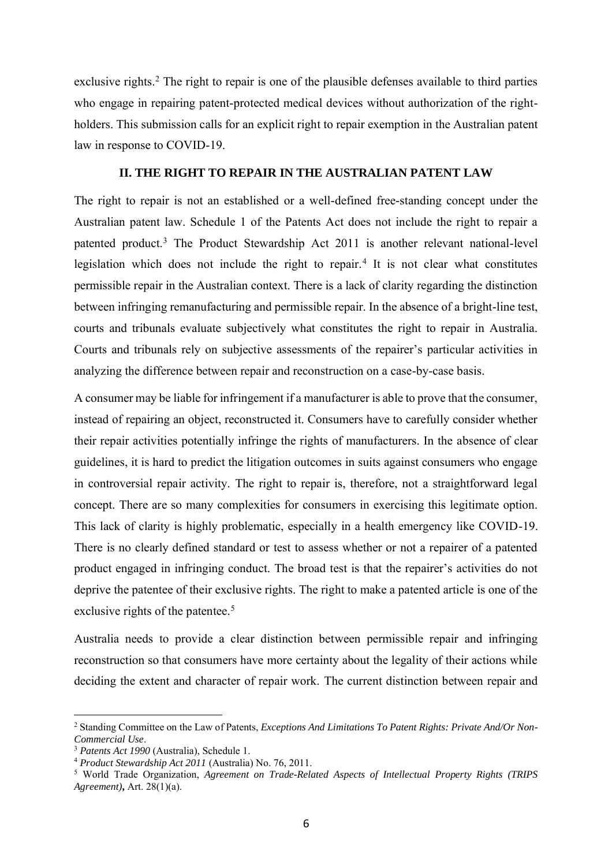exclusive rights.<sup>2</sup> The right to repair is one of the plausible defenses available to third parties who engage in repairing patent-protected medical devices without authorization of the rightholders. This submission calls for an explicit right to repair exemption in the Australian patent law in response to COVID-19.

### **II. THE RIGHT TO REPAIR IN THE AUSTRALIAN PATENT LAW**

The right to repair is not an established or a well-defined free-standing concept under the Australian patent law. Schedule 1 of the Patents Act does not include the right to repair a patented product.<sup>3</sup> The Product Stewardship Act 2011 is another relevant national-level legislation which does not include the right to repair.<sup>4</sup> It is not clear what constitutes permissible repair in the Australian context. There is a lack of clarity regarding the distinction between infringing remanufacturing and permissible repair. In the absence of a bright-line test, courts and tribunals evaluate subjectively what constitutes the right to repair in Australia. Courts and tribunals rely on subjective assessments of the repairer's particular activities in analyzing the difference between repair and reconstruction on a case-by-case basis.

A consumer may be liable for infringement if a manufacturer is able to prove that the consumer, instead of repairing an object, reconstructed it. Consumers have to carefully consider whether their repair activities potentially infringe the rights of manufacturers. In the absence of clear guidelines, it is hard to predict the litigation outcomes in suits against consumers who engage in controversial repair activity. The right to repair is, therefore, not a straightforward legal concept. There are so many complexities for consumers in exercising this legitimate option. This lack of clarity is highly problematic, especially in a health emergency like COVID-19. There is no clearly defined standard or test to assess whether or not a repairer of a patented product engaged in infringing conduct. The broad test is that the repairer's activities do not deprive the patentee of their exclusive rights. The right to make a patented article is one of the exclusive rights of the patentee.<sup>5</sup>

Australia needs to provide a clear distinction between permissible repair and infringing reconstruction so that consumers have more certainty about the legality of their actions while deciding the extent and character of repair work. The current distinction between repair and

<sup>2</sup> Standing Committee on the Law of Patents, *Exceptions And Limitations To Patent Rights: Private And/Or Non-Commercial Use*.

<sup>3</sup> *Patents Act 1990* (Australia), Schedule 1.

<sup>4</sup> *Product Stewardship Act 2011* (Australia) No. 76, 2011.

<sup>5</sup> World Trade Organization, *Agreement on Trade-Related Aspects of Intellectual Property Rights (TRIPS Agreement)***,** Art. 28(1)(a).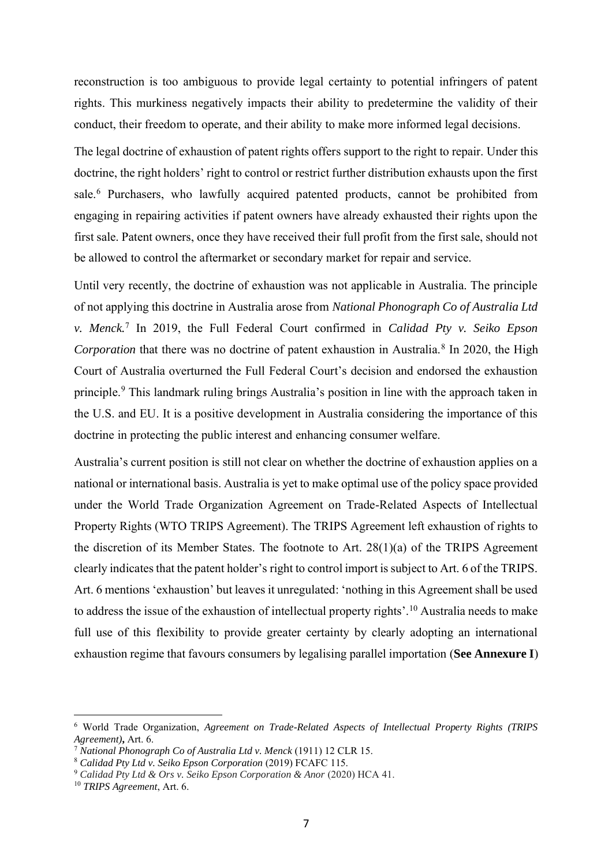reconstruction is too ambiguous to provide legal certainty to potential infringers of patent rights. This murkiness negatively impacts their ability to predetermine the validity of their conduct, their freedom to operate, and their ability to make more informed legal decisions.

The legal doctrine of exhaustion of patent rights offers support to the right to repair. Under this doctrine, the right holders' right to control or restrict further distribution exhausts upon the first sale.<sup>6</sup> Purchasers, who lawfully acquired patented products, cannot be prohibited from engaging in repairing activities if patent owners have already exhausted their rights upon the first sale. Patent owners, once they have received their full profit from the first sale, should not be allowed to control the aftermarket or secondary market for repair and service.

Until very recently, the doctrine of exhaustion was not applicable in Australia. The principle of not applying this doctrine in Australia arose from *National Phonograph Co of Australia Ltd v. Menck.*<sup>7</sup> In 2019, the Full Federal Court confirmed in *Calidad Pty v. Seiko Epson*  Corporation that there was no doctrine of patent exhaustion in Australia.<sup>8</sup> In 2020, the High Court of Australia overturned the Full Federal Court's decision and endorsed the exhaustion principle.<sup>9</sup> This landmark ruling brings Australia's position in line with the approach taken in the U.S. and EU. It is a positive development in Australia considering the importance of this doctrine in protecting the public interest and enhancing consumer welfare.

Australia's current position is still not clear on whether the doctrine of exhaustion applies on a national or international basis. Australia is yet to make optimal use of the policy space provided under the World Trade Organization Agreement on Trade-Related Aspects of Intellectual Property Rights (WTO TRIPS Agreement). The TRIPS Agreement left exhaustion of rights to the discretion of its Member States. The footnote to Art. 28(1)(a) of the TRIPS Agreement clearly indicates that the patent holder's right to control import is subject to Art. 6 of the TRIPS. Art. 6 mentions 'exhaustion' but leaves it unregulated: 'nothing in this Agreement shall be used to address the issue of the exhaustion of intellectual property rights'.<sup>10</sup> Australia needs to make full use of this flexibility to provide greater certainty by clearly adopting an international exhaustion regime that favours consumers by legalising parallel importation (**See Annexure I**)

<sup>6</sup> World Trade Organization, *Agreement on Trade-Related Aspects of Intellectual Property Rights (TRIPS Agreement)***,** Art. 6.

<sup>7</sup> *National Phonograph Co of Australia Ltd v. Menck* (1911) 12 CLR 15.

<sup>8</sup> *Calidad Pty Ltd v. Seiko Epson Corporation* (2019) FCAFC 115.

<sup>9</sup> *Calidad Pty Ltd & Ors v. Seiko Epson Corporation & Anor* (2020) HCA 41.

<sup>10</sup> *TRIPS Agreement*, Art. 6.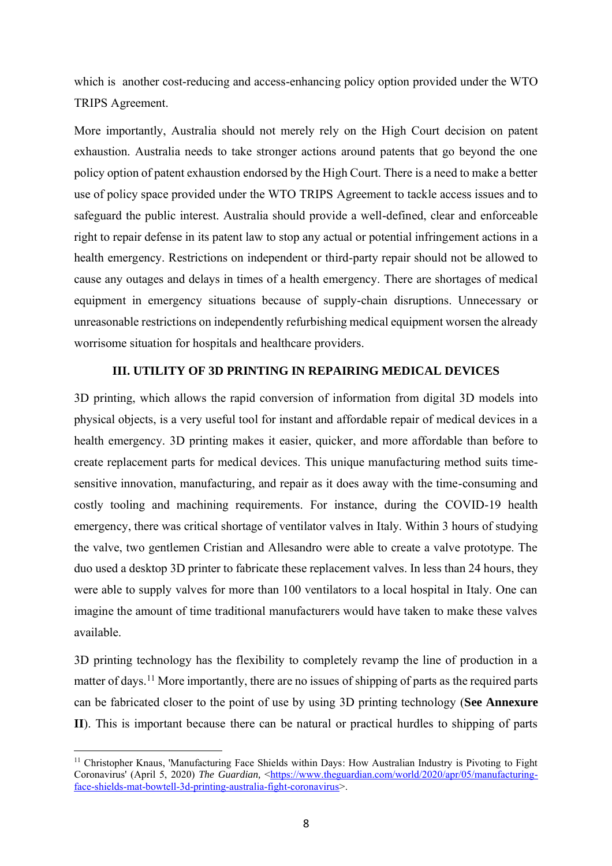which is another cost-reducing and access-enhancing policy option provided under the WTO TRIPS Agreement.

More importantly, Australia should not merely rely on the High Court decision on patent exhaustion. Australia needs to take stronger actions around patents that go beyond the one policy option of patent exhaustion endorsed by the High Court. There is a need to make a better use of policy space provided under the WTO TRIPS Agreement to tackle access issues and to safeguard the public interest. Australia should provide a well-defined, clear and enforceable right to repair defense in its patent law to stop any actual or potential infringement actions in a health emergency. Restrictions on independent or third-party repair should not be allowed to cause any outages and delays in times of a health emergency. There are shortages of medical equipment in emergency situations because of supply-chain disruptions. Unnecessary or unreasonable restrictions on independently refurbishing medical equipment worsen the already worrisome situation for hospitals and healthcare providers.

# **III. UTILITY OF 3D PRINTING IN REPAIRING MEDICAL DEVICES**

3D printing, which allows the rapid conversion of information from digital 3D models into physical objects, is a very useful tool for instant and affordable repair of medical devices in a health emergency. 3D printing makes it easier, quicker, and more affordable than before to create replacement parts for medical devices. This unique manufacturing method suits timesensitive innovation, manufacturing, and repair as it does away with the time-consuming and costly tooling and machining requirements. For instance, during the COVID-19 health emergency, there was critical shortage of ventilator valves in Italy. Within 3 hours of studying the valve, two gentlemen Cristian and Allesandro were able to create a valve prototype. The duo used a desktop 3D printer to fabricate these replacement valves. In less than 24 hours, they were able to supply valves for more than 100 ventilators to a local hospital in Italy. One can imagine the amount of time traditional manufacturers would have taken to make these valves available.

3D printing technology has the flexibility to completely revamp the line of production in a matter of days.<sup>11</sup> More importantly, there are no issues of shipping of parts as the required parts can be fabricated closer to the point of use by using 3D printing technology (**See Annexure II**). This is important because there can be natural or practical hurdles to shipping of parts

<sup>&</sup>lt;sup>11</sup> Christopher Knaus, 'Manufacturing Face Shields within Days: How Australian Industry is Pivoting to Fight Coronavirus' (April 5, 2020) *The Guardian*, <https://www.theguardian.com/world/2020/apr/05/manufacturingface-shields-mat-bowtell-3d-printing-australia-fight-coronavirus>.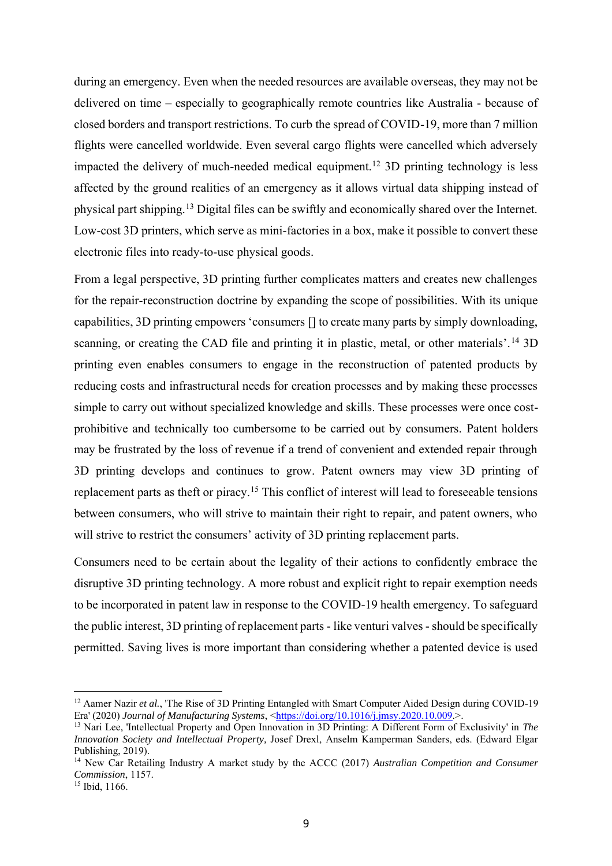during an emergency. Even when the needed resources are available overseas, they may not be delivered on time – especially to geographically remote countries like Australia - because of closed borders and transport restrictions. To curb the spread of COVID-19, more than 7 million flights were cancelled worldwide. Even several cargo flights were cancelled which adversely impacted the delivery of much-needed medical equipment.<sup>12</sup> 3D printing technology is less affected by the ground realities of an emergency as it allows virtual data shipping instead of physical part shipping.<sup>13</sup> Digital files can be swiftly and economically shared over the Internet. Low-cost 3D printers, which serve as mini-factories in a box, make it possible to convert these electronic files into ready-to-use physical goods.

From a legal perspective, 3D printing further complicates matters and creates new challenges for the repair-reconstruction doctrine by expanding the scope of possibilities. With its unique capabilities, 3D printing empowers 'consumers [] to create many parts by simply downloading, scanning, or creating the CAD file and printing it in plastic, metal, or other materials'.<sup>14</sup> 3D printing even enables consumers to engage in the reconstruction of patented products by reducing costs and infrastructural needs for creation processes and by making these processes simple to carry out without specialized knowledge and skills. These processes were once costprohibitive and technically too cumbersome to be carried out by consumers. Patent holders may be frustrated by the loss of revenue if a trend of convenient and extended repair through 3D printing develops and continues to grow. Patent owners may view 3D printing of replacement parts as theft or piracy.<sup>15</sup> This conflict of interest will lead to foreseeable tensions between consumers, who will strive to maintain their right to repair, and patent owners, who will strive to restrict the consumers' activity of 3D printing replacement parts.

Consumers need to be certain about the legality of their actions to confidently embrace the disruptive 3D printing technology. A more robust and explicit right to repair exemption needs to be incorporated in patent law in response to the COVID-19 health emergency. To safeguard the public interest, 3D printing of replacement parts - like venturi valves -should be specifically permitted. Saving lives is more important than considering whether a patented device is used

<sup>&</sup>lt;sup>12</sup> Aamer Nazir *et al.*, 'The Rise of 3D Printing Entangled with Smart Computer Aided Design during COVID-19 Era' (2020) *Journal of Manufacturing Systems*, <https://doi.org/10.1016/j.jmsy.2020.10.009.>.

<sup>13</sup> Nari Lee, 'Intellectual Property and Open Innovation in 3D Printing: A Different Form of Exclusivity' in *The Innovation Society and Intellectual Property,* Josef Drexl, Anselm Kamperman Sanders, eds. (Edward Elgar Publishing, 2019).

<sup>14</sup> New Car Retailing Industry A market study by the ACCC (2017) *Australian Competition and Consumer Commission*, 1157.

<sup>15</sup> Ibid, 1166.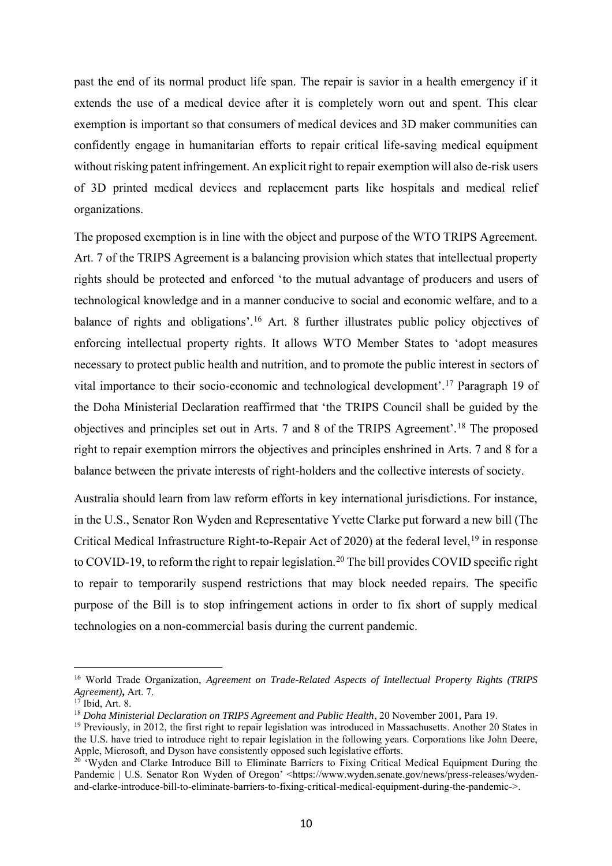past the end of its normal product life span. The repair is savior in a health emergency if it extends the use of a medical device after it is completely worn out and spent. This clear exemption is important so that consumers of medical devices and 3D maker communities can confidently engage in humanitarian efforts to repair critical life-saving medical equipment without risking patent infringement. An explicit right to repair exemption will also de-risk users of 3D printed medical devices and replacement parts like hospitals and medical relief organizations.

The proposed exemption is in line with the object and purpose of the WTO TRIPS Agreement. Art. 7 of the TRIPS Agreement is a balancing provision which states that intellectual property rights should be protected and enforced 'to the mutual advantage of producers and users of technological knowledge and in a manner conducive to social and economic welfare, and to a balance of rights and obligations'.<sup>16</sup> Art. 8 further illustrates public policy objectives of enforcing intellectual property rights. It allows WTO Member States to 'adopt measures necessary to protect public health and nutrition, and to promote the public interest in sectors of vital importance to their socio-economic and technological development'.<sup>17</sup> Paragraph 19 of the Doha Ministerial Declaration reaffirmed that 'the TRIPS Council shall be guided by the objectives and principles set out in Arts. 7 and 8 of the TRIPS Agreement'.<sup>18</sup> The proposed right to repair exemption mirrors the objectives and principles enshrined in Arts. 7 and 8 for a balance between the private interests of right-holders and the collective interests of society.

Australia should learn from law reform efforts in key international jurisdictions. For instance, in the U.S., Senator Ron Wyden and Representative Yvette Clarke put forward a new bill (The Critical Medical Infrastructure Right-to-Repair Act of 2020) at the federal level,<sup>19</sup> in response to COVID-19, to reform the right to repair legislation.<sup>20</sup> The bill provides COVID specific right to repair to temporarily suspend restrictions that may block needed repairs. The specific purpose of the Bill is to stop infringement actions in order to fix short of supply medical technologies on a non-commercial basis during the current pandemic.

<sup>16</sup> World Trade Organization, *Agreement on Trade-Related Aspects of Intellectual Property Rights (TRIPS Agreement)***,** Art. 7.

 $17$  Ibid, Art. 8.

<sup>18</sup> *Doha Ministerial Declaration on TRIPS Agreement and Public Health*, 20 November 2001*,* Para 19.

<sup>&</sup>lt;sup>19</sup> Previously, in 2012, the first right to repair legislation was introduced in Massachusetts. Another 20 States in the U.S. have tried to introduce right to repair legislation in the following years. Corporations like John Deere, Apple, Microsoft, and Dyson have consistently opposed such legislative efforts.

<sup>&</sup>lt;sup>20 '</sup>Wyden and Clarke Introduce Bill to Eliminate Barriers to Fixing Critical Medical Equipment During the Pandemic | U.S. Senator Ron Wyden of Oregon' <https://www.wyden.senate.gov/news/press-releases/wydenand-clarke-introduce-bill-to-eliminate-barriers-to-fixing-critical-medical-equipment-during-the-pandemic->.